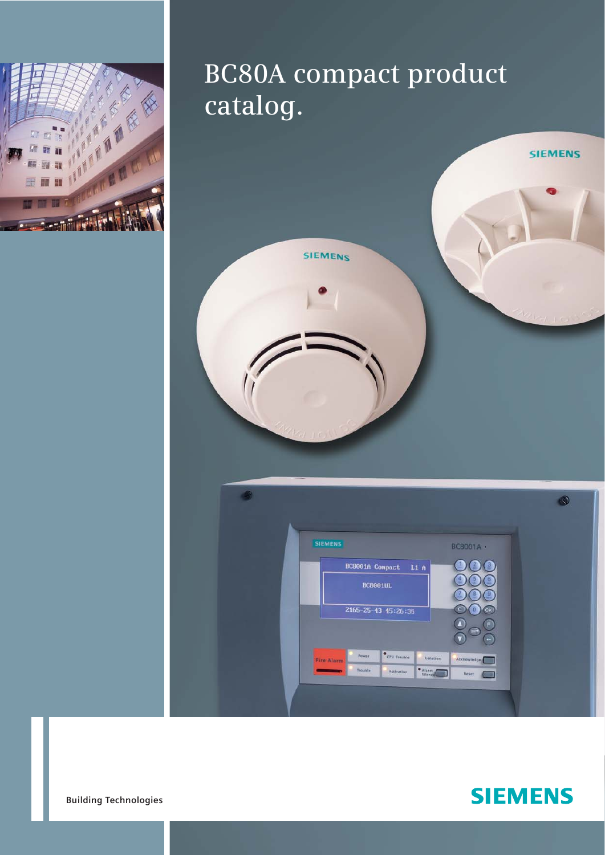

## **BC80A compact product catalog.**





**Building Technologies**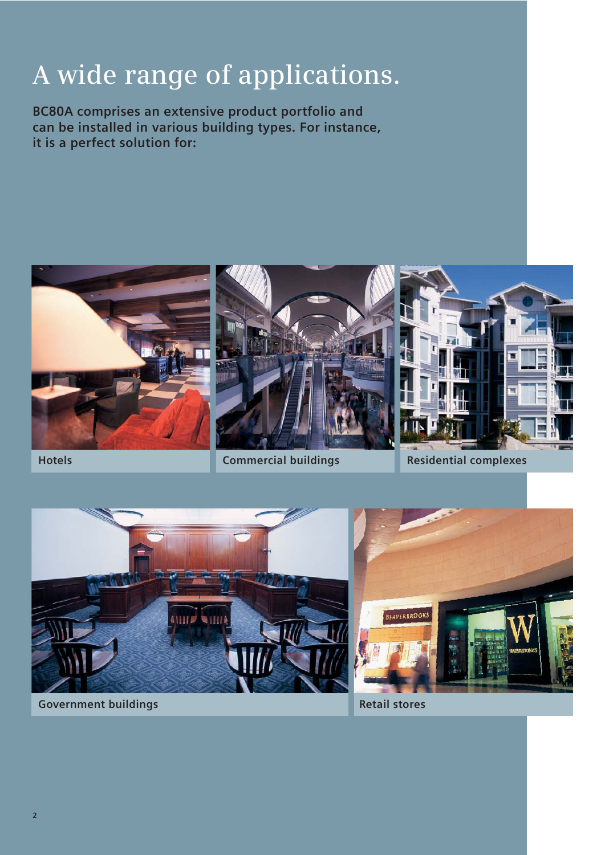# **A wide range of applications.**

**BC80A comprises an extensive product portfolio and can be installed in various building types. For instance, it is a perfect solution for:** 





**Hotels Commercial buildings Residential complexes**





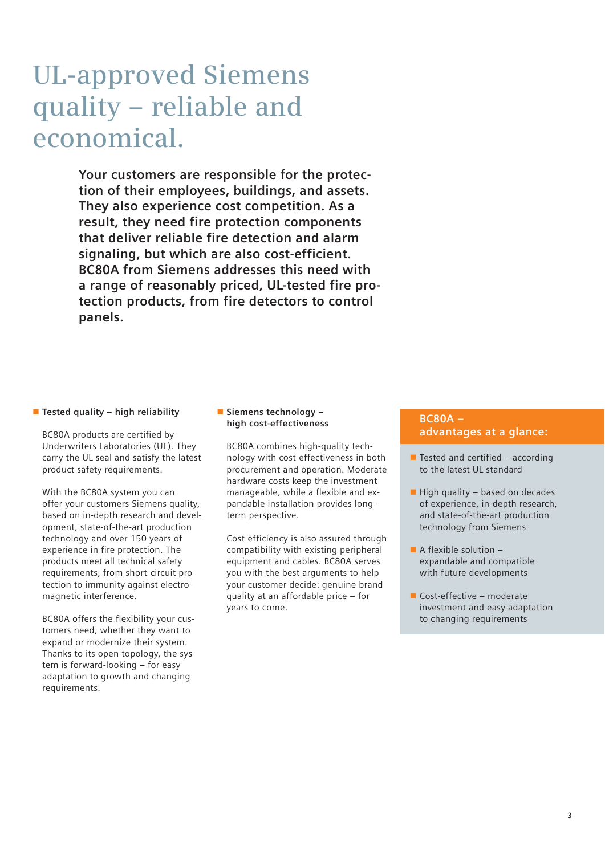## **UL-approved Siemens quality – reliable and economical.**

**Your customers are responsible for the protection of their employees, buildings, and assets. They also experience cost competition. As a result, they need fire protection components that deliver reliable fire detection and alarm signaling, but which are also cost-efficient. BC80A from Siemens addresses this need with a range of reasonably priced, UL-tested fire protection products, from fire detectors to control panels.**

#### **Example 1 Tested quality – high reliability**

BC80A products are certified by Underwriters Laboratories (UL). They carry the UL seal and satisfy the latest product safety requirements.

With the BC80A system you can offer your customers Siemens quality, based on in-depth research and development, state-of-the-art production technology and over 150 years of experience in fire protection. The products meet all technical safety requirements, from short-circuit protection to immunity against electromagnetic interference.

BC80A offers the flexibility your customers need, whether they want to expand or modernize their system. Thanks to its open topology, the system is forward-looking – for easy adaptation to growth and changing requirements.

#### - **Siemens technology – high cost-effectiveness**

BC80A combines high-quality technology with cost-effectiveness in both procurement and operation. Moderate hardware costs keep the investment manageable, while a flexible and expandable installation provides longterm perspective.

Cost-efficiency is also assured through compatibility with existing peripheral equipment and cables. BC80A serves you with the best arguments to help your customer decide: genuine brand quality at an affordable price – for years to come.

#### **BC80A – advantages at a glance:**

- $\blacksquare$  Tested and certified according to the latest UL standard
- $\blacksquare$  High quality based on decades of experience, in-depth research, and state-of-the-art production technology from Siemens
- $\blacksquare$  A flexible solution  $$ expandable and compatible with future developments
- Cost-effective moderate investment and easy adaptation to changing requirements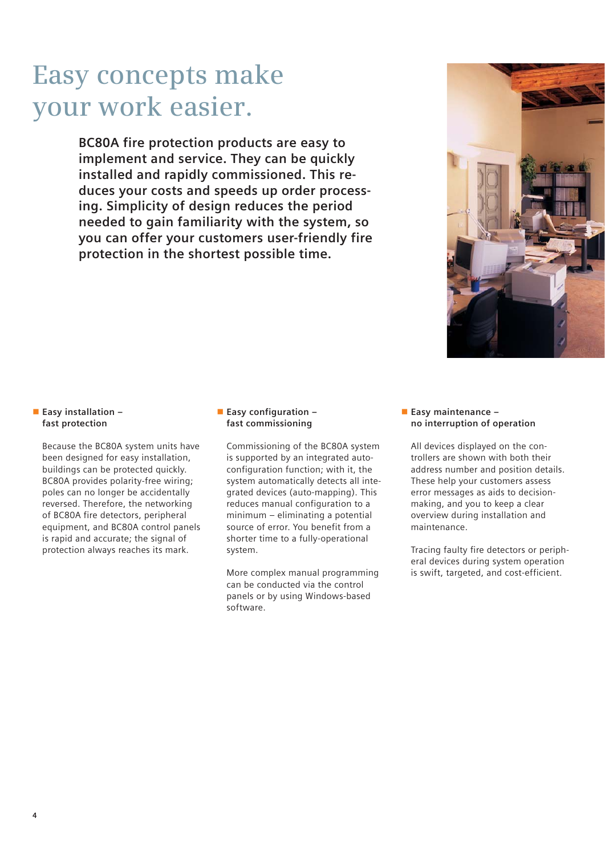## **Easy concepts make your work easier.**

**BC80A fire protection products are easy to implement and service. They can be quickly installed and rapidly commissioned. This reduces your costs and speeds up order processing. Simplicity of design reduces the period needed to gain familiarity with the system, so you can offer your customers user-friendly fire protection in the shortest possible time.**



#### - **Easy installation – fast protection**

Because the BC80A system units have been designed for easy installation, buildings can be protected quickly. BC80A provides polarity-free wiring; poles can no longer be accidentally reversed. Therefore, the networking of BC80A fire detectors, peripheral equipment, and BC80A control panels is rapid and accurate; the signal of protection always reaches its mark.

#### - **Easy configuration – fast commissioning**

Commissioning of the BC80A system is supported by an integrated autoconfiguration function; with it, the system automatically detects all integrated devices (auto-mapping). This reduces manual configuration to a minimum – eliminating a potential source of error. You benefit from a shorter time to a fully-operational system.

More complex manual programming can be conducted via the control panels or by using Windows-based software.

#### - **Easy maintenance – no interruption of operation**

All devices displayed on the controllers are shown with both their address number and position details. These help your customers assess error messages as aids to decisionmaking, and you to keep a clear overview during installation and maintenance.

Tracing faulty fire detectors or peripheral devices during system operation is swift, targeted, and cost-efficient.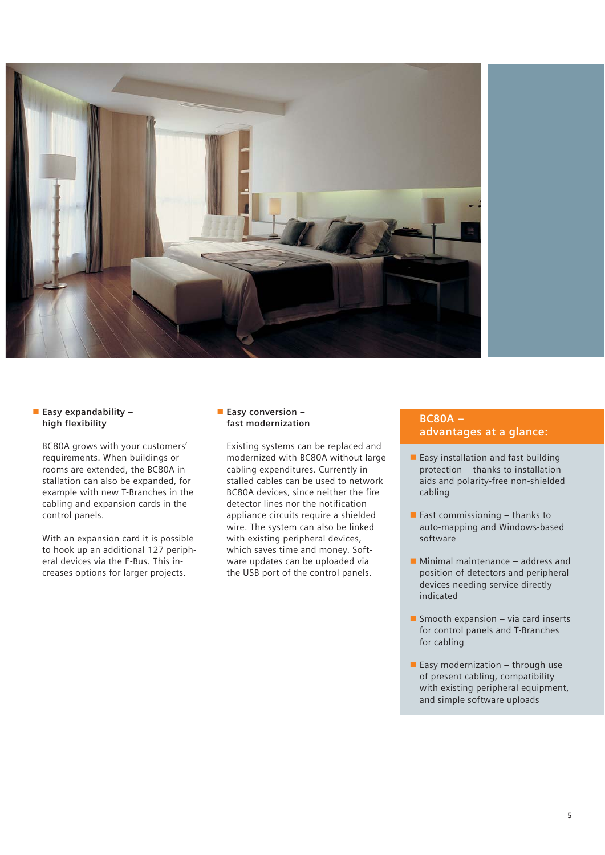

#### - **Easy expandability – high flexibility**

BC80A grows with your customers' requirements. When buildings or rooms are extended, the BC80A installation can also be expanded, for example with new T-Branches in the cabling and expansion cards in the control panels.

With an expansion card it is possible to hook up an additional 127 peripheral devices via the F-Bus. This increases options for larger projects.

#### **Easy conversion fast modernization**

Existing systems can be replaced and modernized with BC80A without large cabling expenditures. Currently installed cables can be used to network BC80A devices, since neither the fire detector lines nor the notification appliance circuits require a shielded wire. The system can also be linked with existing peripheral devices, which saves time and money. Software updates can be uploaded via the USB port of the control panels.

#### **BC80A – advantages at a glance:**

- **Easy installation and fast building** protection – thanks to installation aids and polarity-free non-shielded cabling
- $\blacksquare$  Fast commissioning  $-$  thanks to auto-mapping and Windows-based software
- Minimal maintenance address and position of detectors and peripheral devices needing service directly indicated
- **Smooth expansion via card inserts** for control panels and T-Branches for cabling
- $\blacksquare$  Easy modernization through use of present cabling, compatibility with existing peripheral equipment, and simple software uploads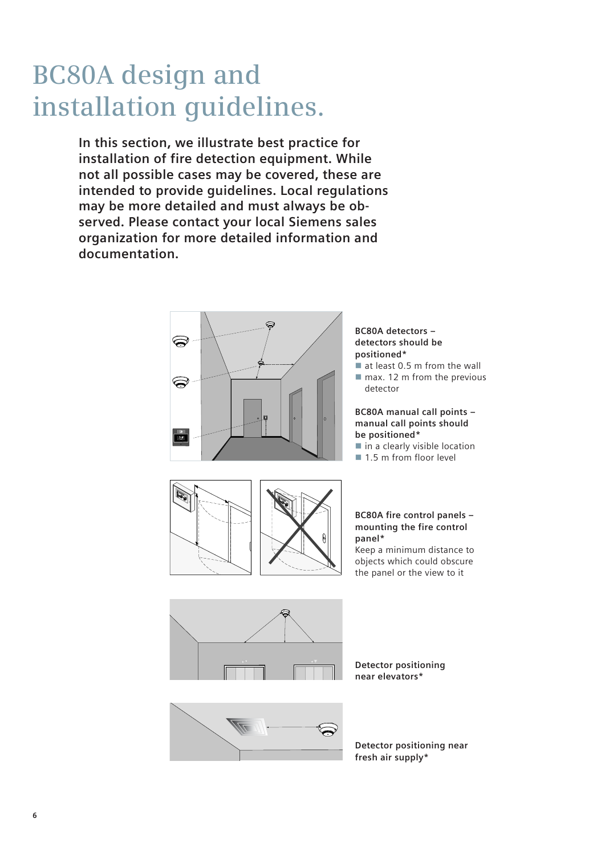## **BC80A design and installation guidelines.**

**In this section, we illustrate best practice for installation of fire detection equipment. While not all possible cases may be covered, these are intended to provide guidelines. Local regulations may be more detailed and must always be observed. Please contact your local Siemens sales organization for more detailed information and documentation.**



#### **BC80A detectors – detectors should be positioned\***

- at least 0.5 m from the wall
- $\blacksquare$  max. 12 m from the previous detector

#### **BC80A manual call points – manual call points should be positioned\***

- in a clearly visible location
- 1.5 m from floor level



#### **BC80A fire control panels – mounting the fire control panel\***

Keep a minimum distance to objects which could obscure the panel or the view to it



**Detector positioning near elevators\***



**Detector positioning near fresh air supply\***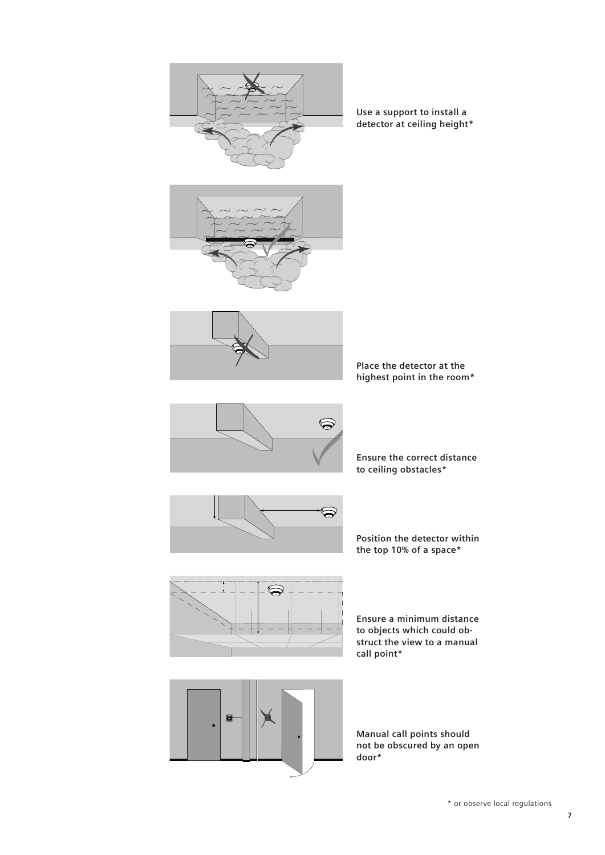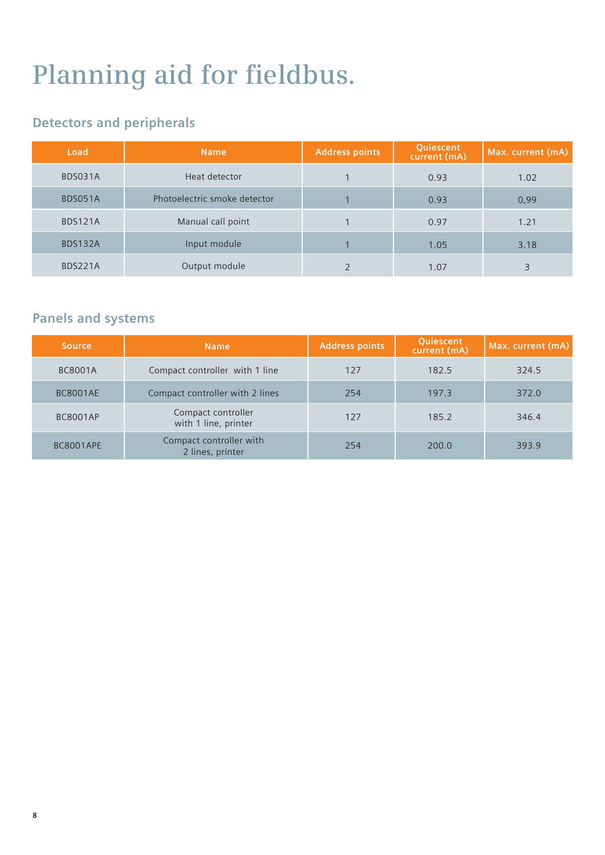# **Planning aid for fieldbus.**

### **Detectors and peripherals**

| Load           | <b>Name</b>                  | <b>Address points</b> | Quiescent<br>current (mA) | Max. current (mA) |
|----------------|------------------------------|-----------------------|---------------------------|-------------------|
| BDS031A        | Heat detector                |                       | 0.93                      | 1.02              |
| BDS051A        | Photoelectric smoke detector |                       | 0.93                      | 0,99              |
| <b>BDS121A</b> | Manual call point            |                       | 0.97                      | 1.21              |
| BDS132A        | Input module                 |                       | 1.05                      | 3.18              |
| <b>BDS221A</b> | Output module                |                       | 1.07                      | 3                 |

### **Panels and systems**

| <b>Source</b>    | <b>Name</b>                                 | <b>Address points</b> | Quiescent<br>current (mA) | Max. current (mA) |
|------------------|---------------------------------------------|-----------------------|---------------------------|-------------------|
| <b>BC8001A</b>   | Compact controller with 1 line              | 127                   | 182.5                     | 324.5             |
| <b>BC8001AE</b>  | Compact controller with 2 lines             | 254                   | 197.3                     | 372.0             |
| <b>BC8001AP</b>  | Compact controller<br>with 1 line, printer  | 127                   | 185.2                     | 346.4             |
| <b>BC8001APE</b> | Compact controller with<br>2 lines, printer | 254                   | 200.0                     | 393.9             |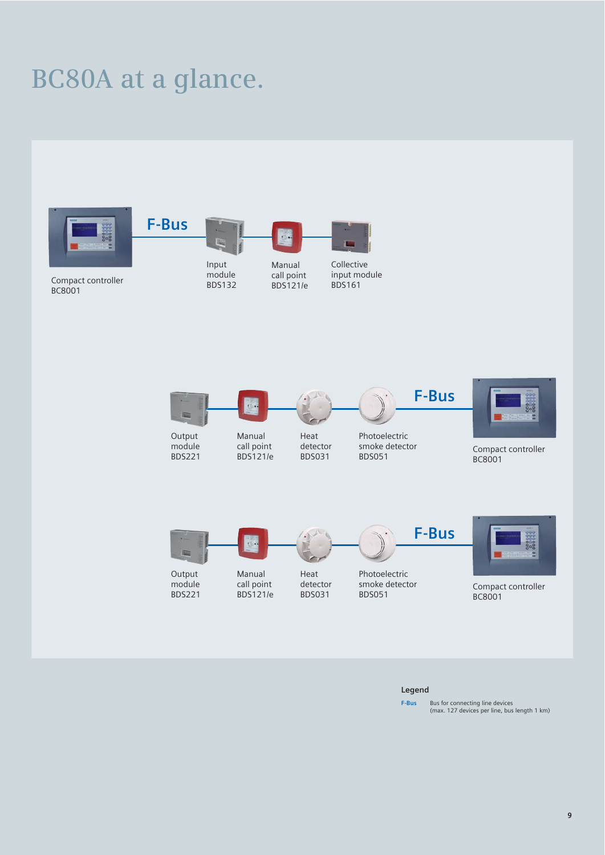## **BC80A at a glance.**





#### **Legend**

**F-Bus** Bus for connecting line devices<br>(max. 127 devices per line, bus length 1 km)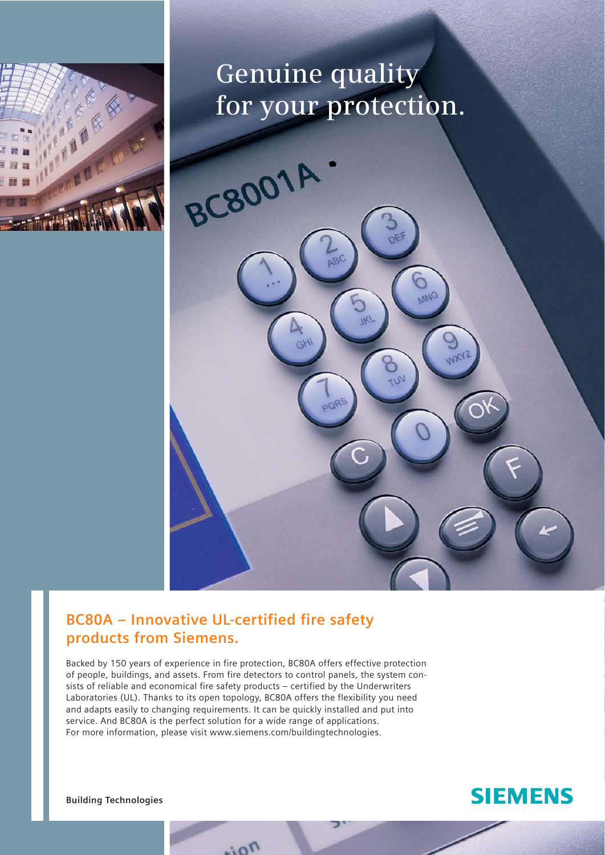

## **Genuine quality for your protection.**

MNO

**WANZ** 

 $\overline{w}$ 

GH

### **BC80A – Innovative UL-certified fire safety products from Siemens.**

**BC8001** 

Backed by 150 years of experience in fire protection, BC80A offers effective protection of people, buildings, and assets. From fire detectors to control panels, the system consists of reliable and economical fire safety products – certified by the Underwriters Laboratories (UL). Thanks to its open topology, BC80A offers the flexibility you need and adapts easily to changing requirements. It can be quickly installed and put into service. And BC80A is the perfect solution for a wide range of applications. For more information, please visit www.siemens.com/buildingtechnologies.

rion

**Building Technologies**

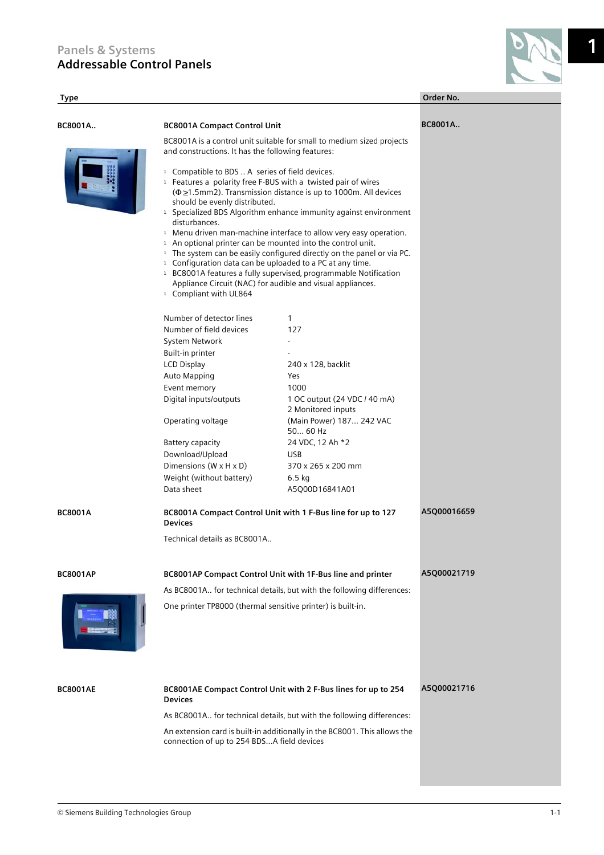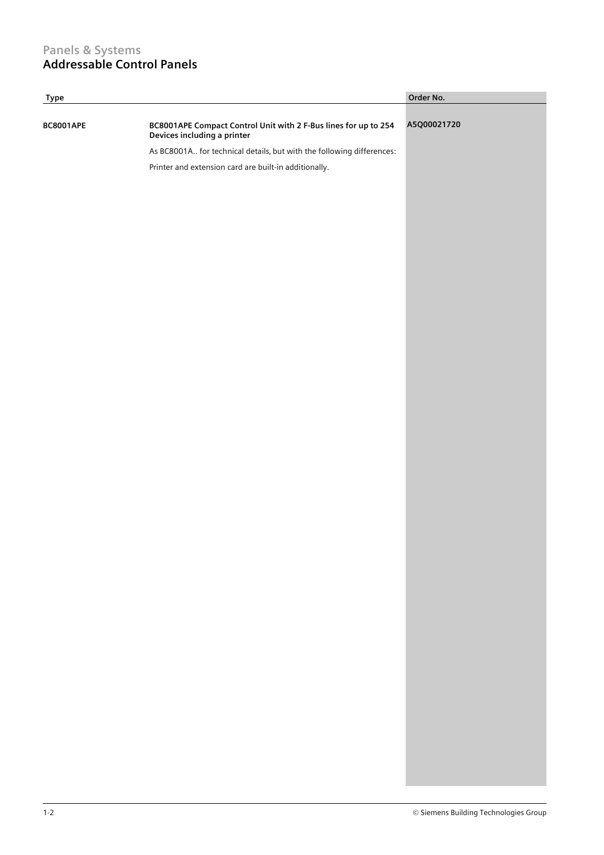#### **Panels & Systems Addressable Control Panels**

| <b>Type</b>      |                                                                                                | Order No.   |
|------------------|------------------------------------------------------------------------------------------------|-------------|
| <b>BC8001APE</b> | BC8001APE Compact Control Unit with 2 F-Bus lines for up to 254<br>Devices including a printer | A5Q00021720 |
|                  | As BC8001A for technical details, but with the following differences:                          |             |
|                  | Printer and extension card are built-in additionally.                                          |             |
|                  |                                                                                                |             |
|                  |                                                                                                |             |
|                  |                                                                                                |             |
|                  |                                                                                                |             |
|                  |                                                                                                |             |
|                  |                                                                                                |             |
|                  |                                                                                                |             |
|                  |                                                                                                |             |
|                  |                                                                                                |             |
|                  |                                                                                                |             |
|                  |                                                                                                |             |
|                  |                                                                                                |             |
|                  |                                                                                                |             |
|                  |                                                                                                |             |
|                  |                                                                                                |             |
|                  |                                                                                                |             |
|                  |                                                                                                |             |
|                  |                                                                                                |             |
|                  |                                                                                                |             |
|                  |                                                                                                |             |
|                  |                                                                                                |             |
|                  |                                                                                                |             |
|                  |                                                                                                |             |
|                  |                                                                                                |             |
|                  |                                                                                                |             |
|                  |                                                                                                |             |
|                  |                                                                                                |             |
|                  |                                                                                                |             |
|                  |                                                                                                |             |
|                  |                                                                                                |             |
|                  |                                                                                                |             |
|                  |                                                                                                |             |
|                  |                                                                                                |             |
|                  |                                                                                                |             |
|                  |                                                                                                |             |
|                  |                                                                                                |             |
|                  |                                                                                                |             |
|                  |                                                                                                |             |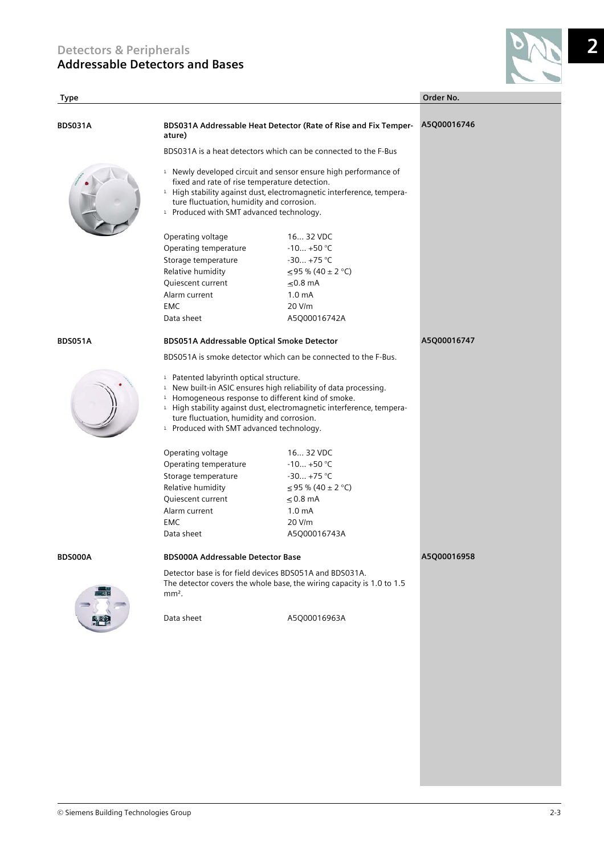**BDS031A BDS031A Addressable Heat Detector (Rate of Rise and Fix Temper-**

**BDS051A BDS051A Addressable Optical Smoke Detector**

**BDS000A BDS000A Addressable Detector Base**

**Type Order No.** 

| BDS031A Addressable Heat Detector (Rate of Rise and Fix Temper-<br>ature)                                                                                                                                                                                                                                                                                                                  | A5Q00016746                                                                                                                    |             |
|--------------------------------------------------------------------------------------------------------------------------------------------------------------------------------------------------------------------------------------------------------------------------------------------------------------------------------------------------------------------------------------------|--------------------------------------------------------------------------------------------------------------------------------|-------------|
| BDS031A is a heat detectors which can be connected to the F-Bus                                                                                                                                                                                                                                                                                                                            |                                                                                                                                |             |
| <sup>1</sup> Newly developed circuit and sensor ensure high performance of<br>fixed and rate of rise temperature detection.<br><sup>1</sup> High stability against dust, electromagnetic interference, tempera-<br>ture fluctuation, humidity and corrosion.<br><sup>1</sup> Produced with SMT advanced technology.                                                                        |                                                                                                                                |             |
| Operating voltage<br>Operating temperature<br>Storage temperature<br>Relative humidity<br>Quiescent current<br>Alarm current<br><b>FMC</b><br>Data sheet                                                                                                                                                                                                                                   | 16 32 VDC<br>$-10 +50$ °C<br>$-30+75$ °C<br>≤95 % (40 ± 2 °C)<br>$\leq$ 0.8 mA<br>1.0 <sub>m</sub> A<br>20 V/m<br>A5Q00016742A |             |
| BDS051A Addressable Optical Smoke Detector                                                                                                                                                                                                                                                                                                                                                 |                                                                                                                                | A5Q00016747 |
| BDS051A is smoke detector which can be connected to the F-Bus.                                                                                                                                                                                                                                                                                                                             |                                                                                                                                |             |
| <sup>1</sup> Patented labyrinth optical structure.<br><sup>1</sup> New built-in ASIC ensures high reliability of data processing.<br><sup>1</sup> Homogeneous response to different kind of smoke.<br><sup>1</sup> High stability against dust, electromagnetic interference, tempera-<br>ture fluctuation, humidity and corrosion.<br><sup>1</sup> Produced with SMT advanced technology. |                                                                                                                                |             |
| Operating voltage<br>Operating temperature<br>Storage temperature<br>Relative humidity<br><b>Oujescent current</b><br>Alarm current<br><b>FMC</b><br>Data sheet                                                                                                                                                                                                                            | 16 32 VDC<br>$-10 +50$ °C<br>$-30+75$ °C<br>≤95 % (40 ± 2 °C)<br>$\leq$ 0.8 mA<br>1.0 <sub>m</sub> A<br>20 V/m<br>A5Q00016743A |             |
| <b>BDS000A Addressable Detector Base</b>                                                                                                                                                                                                                                                                                                                                                   |                                                                                                                                | A5Q00016958 |
| Detector base is for field devices BDS051A and BDS031A.<br>The detector covers the whole base, the wiring capacity is 1.0 to 1.5<br>$mm2$ .                                                                                                                                                                                                                                                |                                                                                                                                |             |
| Data sheet                                                                                                                                                                                                                                                                                                                                                                                 | A5Q00016963A                                                                                                                   |             |
|                                                                                                                                                                                                                                                                                                                                                                                            |                                                                                                                                |             |

**2**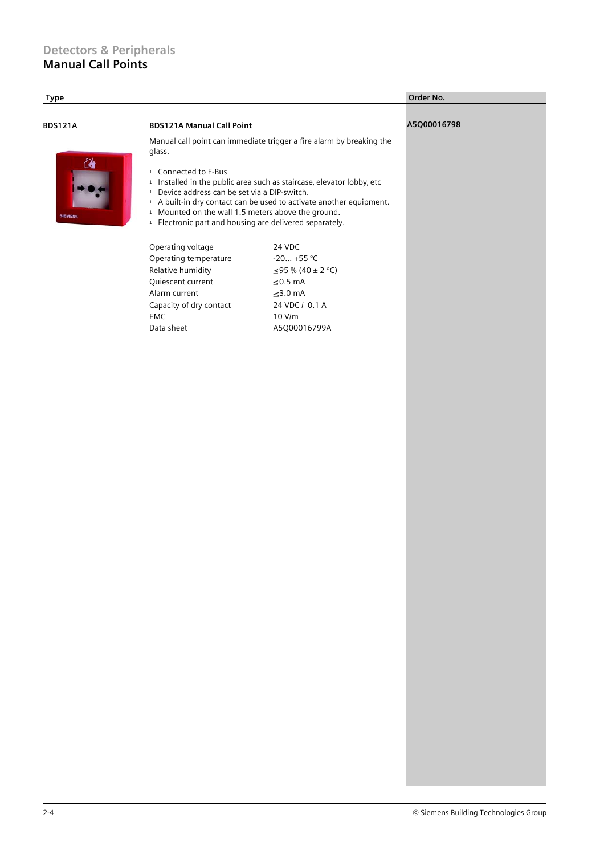#### **Detectors & Peripherals Manual Call Points**

| Type           |                                                                                |                                                                                                                                                                                                                       | Order No.   |  |
|----------------|--------------------------------------------------------------------------------|-----------------------------------------------------------------------------------------------------------------------------------------------------------------------------------------------------------------------|-------------|--|
| <b>BDS121A</b> | <b>BDS121A Manual Call Point</b>                                               |                                                                                                                                                                                                                       | A5Q00016798 |  |
| 偤              | Manual call point can immediate trigger a fire alarm by breaking the<br>glass. |                                                                                                                                                                                                                       |             |  |
|                | <sup>1</sup> Connected to F-Bus                                                | <sup>1</sup> Installed in the public area such as staircase, elevator lobby, etc<br><sup>1</sup> Device address can be set via a DIP-switch.                                                                          |             |  |
| <b>SIEMENS</b> |                                                                                | <sup>1</sup> A built-in dry contact can be used to activate another equipment.<br><sup>1</sup> Mounted on the wall 1.5 meters above the ground.<br><sup>1</sup> Electronic part and housing are delivered separately. |             |  |
|                | Operating voltage<br>Operating temperature                                     | 24 VDC<br>$-20 +55 °C$                                                                                                                                                                                                |             |  |
|                | Relative humidity                                                              | $\leq$ 95 % (40 ± 2 °C)                                                                                                                                                                                               |             |  |
|                | Quiescent current                                                              | $≤0.5$ mA                                                                                                                                                                                                             |             |  |
|                | Alarm current                                                                  | $≤3.0$ mA                                                                                                                                                                                                             |             |  |
|                | Capacity of dry contact                                                        | 24 VDC / 0.1 A                                                                                                                                                                                                        |             |  |
|                | EMC                                                                            | 10 V/m                                                                                                                                                                                                                |             |  |
|                | Data sheet                                                                     | A5Q00016799A                                                                                                                                                                                                          |             |  |
|                |                                                                                |                                                                                                                                                                                                                       |             |  |
|                |                                                                                |                                                                                                                                                                                                                       |             |  |
|                |                                                                                |                                                                                                                                                                                                                       |             |  |
|                |                                                                                |                                                                                                                                                                                                                       |             |  |
|                |                                                                                |                                                                                                                                                                                                                       |             |  |
|                |                                                                                |                                                                                                                                                                                                                       |             |  |
|                |                                                                                |                                                                                                                                                                                                                       |             |  |
|                |                                                                                |                                                                                                                                                                                                                       |             |  |
|                |                                                                                |                                                                                                                                                                                                                       |             |  |
|                |                                                                                |                                                                                                                                                                                                                       |             |  |
|                |                                                                                |                                                                                                                                                                                                                       |             |  |
|                |                                                                                |                                                                                                                                                                                                                       |             |  |
|                |                                                                                |                                                                                                                                                                                                                       |             |  |
|                |                                                                                |                                                                                                                                                                                                                       |             |  |
|                |                                                                                |                                                                                                                                                                                                                       |             |  |
|                |                                                                                |                                                                                                                                                                                                                       |             |  |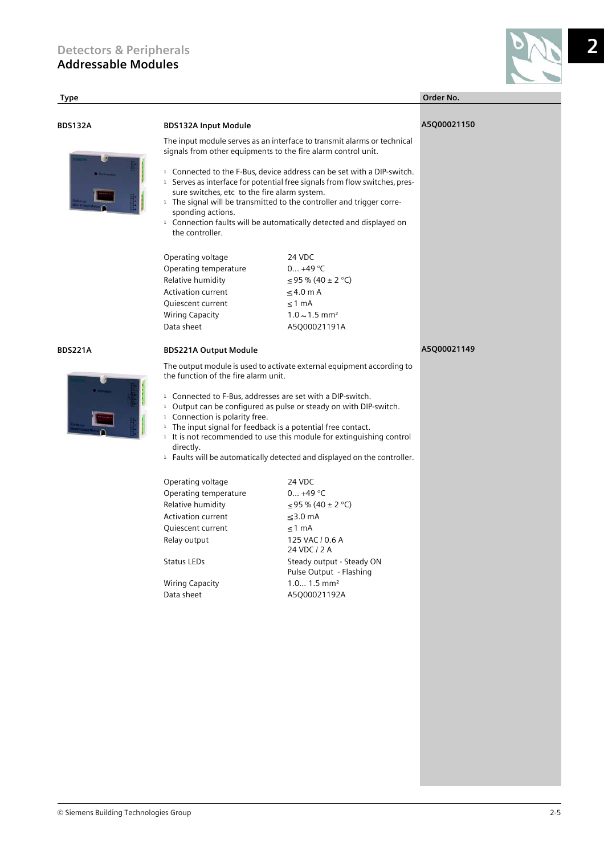

**2**

### **Type Order No. BDS132A BDS132A Input Module** The input module serves as an interface to transmit alarms or technical signals from other equipments to the fire alarm control unit. <sup>1</sup> Connected to the F-Bus, device address can be set with a DIP-switch.  $1$  Serves as interface for potential free signals from flow switches, pressure switches, etc to the fire alarm system.  $1$  The signal will be transmitted to the controller and trigger corresponding actions. <sup>1</sup> Connection faults will be automatically detected and displayed on the controller. Operating voltage 24 VDC Operating temperature 0... +49 °C Relative humidity  $\leq 95 \% (40 \pm 2 °C)$ Activation current  $\leq 4.0$  m A Quiescent current  $\leq 1$  mA Wiring Capacity  $1.0 \sim 1.5$  mm<sup>2</sup> Data sheet A5Q00021191A **A5Q00021150 BDS221A BDS221A Output Module** The output module is used to activate external equipment according to the function of the fire alarm unit. <sup>1</sup> Connected to F-Bus, addresses are set with a DIP-switch.  $1$  Output can be configured as pulse or steady on with DIP-switch. <sup>1</sup> Connection is polarity free.  $1$  The input signal for feedback is a potential free contact.  $1$  It is not recommended to use this module for extinguishing control directly.  $1$  Faults will be automatically detected and displayed on the controller. Operating voltage 24 VDC Operating temperature 0... +49 °C Relative humidity  $\leq 95 \% (40 \pm 2 °C)$ Activation current  $\leq$ 3.0 mA Quiescent current  $\leq 1$  mA Relay output 125 VAC / 0.6 A 24 VDC / 2 A Status LEDs Steady output - Steady ON Pulse Output - Flashing Wiring Capacity 1.0... 1.5 mm<sup>2</sup> Data sheet A5Q00021192A **A5Q00021149**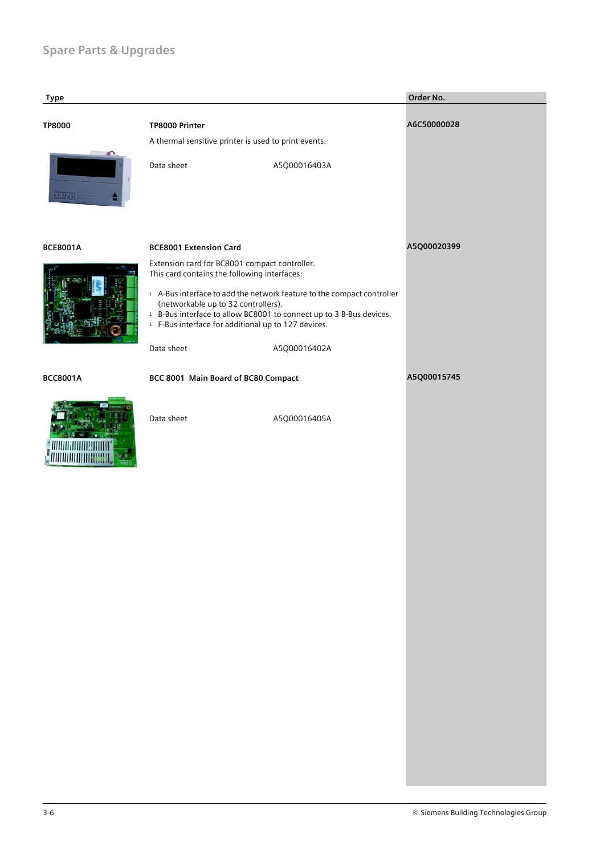### **Spare Parts & Upgrades**

| <b>Type</b>     |                                                                                                                                                                                                                                                                              |              | Order No.   |
|-----------------|------------------------------------------------------------------------------------------------------------------------------------------------------------------------------------------------------------------------------------------------------------------------------|--------------|-------------|
| <b>TP8000</b>   | TP8000 Printer<br>A thermal sensitive printer is used to print events.                                                                                                                                                                                                       |              | A6C50000028 |
| 31420           | Data sheet                                                                                                                                                                                                                                                                   | A5Q00016403A |             |
| <b>BCE8001A</b> | <b>BCE8001 Extension Card</b>                                                                                                                                                                                                                                                |              | A5Q00020399 |
|                 | Extension card for BC8001 compact controller.<br>This card contains the following interfaces:                                                                                                                                                                                |              |             |
|                 | <sup>1</sup> A-Bus interface to add the network feature to the compact controller<br>(networkable up to 32 controllers).<br><sup>1</sup> B-Bus interface to allow BC8001 to connect up to 3 B-Bus devices.<br><sup>1</sup> F-Bus interface for additional up to 127 devices. |              |             |
|                 | Data sheet                                                                                                                                                                                                                                                                   | A5Q00016402A |             |
| <b>BCC8001A</b> | BCC 8001 Main Board of BC80 Compact                                                                                                                                                                                                                                          |              | A5Q00015745 |
|                 | Data sheet                                                                                                                                                                                                                                                                   | A5Q00016405A |             |
|                 |                                                                                                                                                                                                                                                                              |              |             |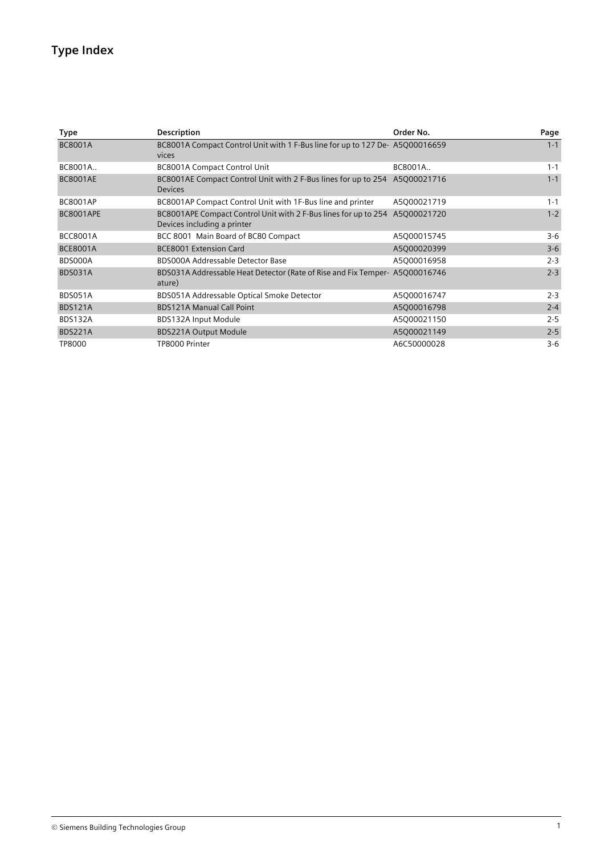### **Type Index**

| Type             | <b>Description</b>                                                                             | Order No.   | Page    |
|------------------|------------------------------------------------------------------------------------------------|-------------|---------|
| <b>BC8001A</b>   | BC8001A Compact Control Unit with 1 F-Bus line for up to 127 De-A5Q00016659<br>vices           |             | $1 - 1$ |
| BC8001A          | <b>BC8001A Compact Control Unit</b>                                                            | BC8001A     | $1 - 1$ |
| <b>BC8001AE</b>  | BC8001AE Compact Control Unit with 2 F-Bus lines for up to 254 A5Q00021716<br><b>Devices</b>   |             | $1 - 1$ |
| <b>BC8001AP</b>  | BC8001AP Compact Control Unit with 1F-Bus line and printer                                     | A5Q00021719 | $1 - 1$ |
| <b>BC8001APE</b> | BC8001APE Compact Control Unit with 2 F-Bus lines for up to 254<br>Devices including a printer | A5Q00021720 | $1 - 2$ |
| <b>BCC8001A</b>  | BCC 8001 Main Board of BC80 Compact                                                            | A5Q00015745 | $3-6$   |
| <b>BCE8001A</b>  | <b>BCE8001 Extension Card</b>                                                                  | A5Q00020399 | $3-6$   |
| BDS000A          | BDS000A Addressable Detector Base                                                              | A5Q00016958 | $2 - 3$ |
| BDS031A          | BDS031A Addressable Heat Detector (Rate of Rise and Fix Temper- A5Q00016746<br>ature)          |             | $2 - 3$ |
| BDS051A          | BDS051A Addressable Optical Smoke Detector                                                     | A5Q00016747 | $2 - 3$ |
| <b>BDS121A</b>   | <b>BDS121A Manual Call Point</b>                                                               | A5Q00016798 | $2 - 4$ |
| <b>BDS132A</b>   | BDS132A Input Module                                                                           | A5Q00021150 | $2 - 5$ |
| <b>BDS221A</b>   | <b>BDS221A Output Module</b>                                                                   | A5Q00021149 | $2 - 5$ |
| TP8000           | TP8000 Printer                                                                                 | A6C50000028 | $3-6$   |